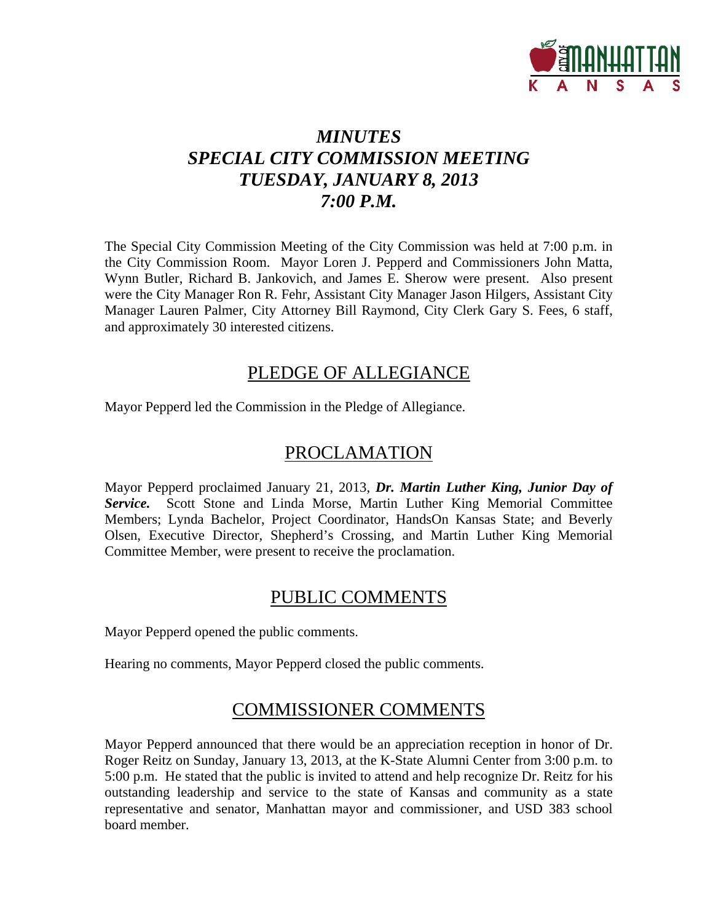

## *MINUTES SPECIAL CITY COMMISSION MEETING TUESDAY, JANUARY 8, 2013 7:00 P.M.*

The Special City Commission Meeting of the City Commission was held at 7:00 p.m. in the City Commission Room. Mayor Loren J. Pepperd and Commissioners John Matta, Wynn Butler, Richard B. Jankovich, and James E. Sherow were present. Also present were the City Manager Ron R. Fehr, Assistant City Manager Jason Hilgers, Assistant City Manager Lauren Palmer, City Attorney Bill Raymond, City Clerk Gary S. Fees, 6 staff, and approximately 30 interested citizens.

### PLEDGE OF ALLEGIANCE

Mayor Pepperd led the Commission in the Pledge of Allegiance.

### PROCLAMATION

Mayor Pepperd proclaimed January 21, 2013, *Dr. Martin Luther King, Junior Day of Service.* Scott Stone and Linda Morse, Martin Luther King Memorial Committee Members; Lynda Bachelor, Project Coordinator, HandsOn Kansas State; and Beverly Olsen, Executive Director, Shepherd's Crossing, and Martin Luther King Memorial Committee Member, were present to receive the proclamation.

### PUBLIC COMMENTS

Mayor Pepperd opened the public comments.

Hearing no comments, Mayor Pepperd closed the public comments.

### COMMISSIONER COMMENTS

Mayor Pepperd announced that there would be an appreciation reception in honor of Dr. Roger Reitz on Sunday, January 13, 2013, at the K-State Alumni Center from 3:00 p.m. to 5:00 p.m. He stated that the public is invited to attend and help recognize Dr. Reitz for his outstanding leadership and service to the state of Kansas and community as a state representative and senator, Manhattan mayor and commissioner, and USD 383 school board member.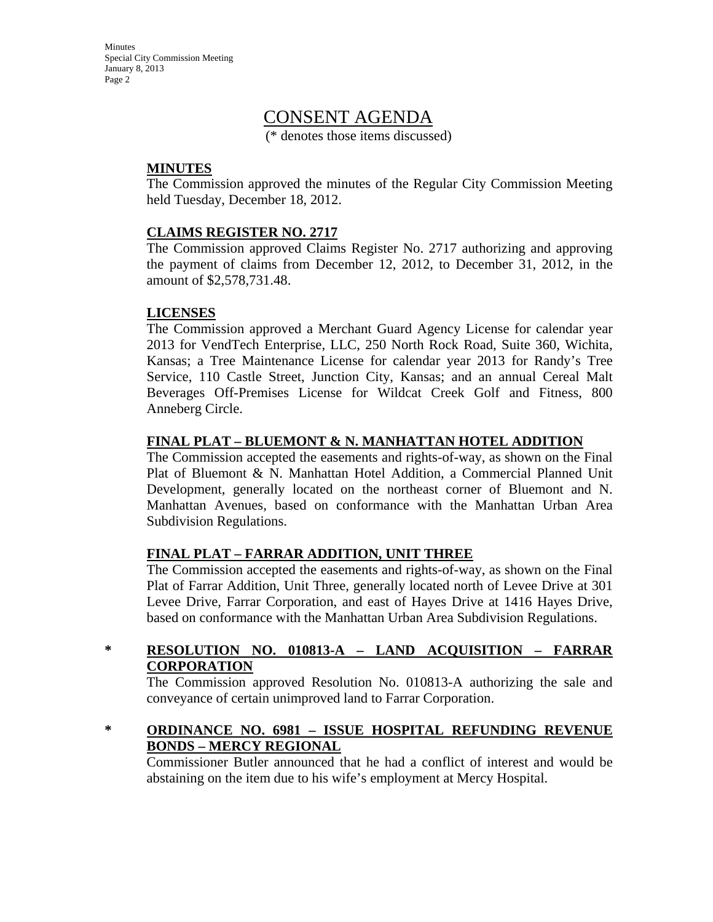Minutes Special City Commission Meeting January 8, 2013 Page 2

### CONSENT AGENDA

(\* denotes those items discussed)

### **MINUTES**

The Commission approved the minutes of the Regular City Commission Meeting held Tuesday, December 18, 2012.

### **CLAIMS REGISTER NO. 2717**

The Commission approved Claims Register No. 2717 authorizing and approving the payment of claims from December 12, 2012, to December 31, 2012, in the amount of \$2,578,731.48.

### **LICENSES**

The Commission approved a Merchant Guard Agency License for calendar year 2013 for VendTech Enterprise, LLC, 250 North Rock Road, Suite 360, Wichita, Kansas; a Tree Maintenance License for calendar year 2013 for Randy's Tree Service, 110 Castle Street, Junction City, Kansas; and an annual Cereal Malt Beverages Off-Premises License for Wildcat Creek Golf and Fitness, 800 Anneberg Circle.

### **FINAL PLAT – BLUEMONT & N. MANHATTAN HOTEL ADDITION**

The Commission accepted the easements and rights-of-way, as shown on the Final Plat of Bluemont & N. Manhattan Hotel Addition, a Commercial Planned Unit Development, generally located on the northeast corner of Bluemont and N. Manhattan Avenues, based on conformance with the Manhattan Urban Area Subdivision Regulations.

#### **FINAL PLAT – FARRAR ADDITION, UNIT THREE**

The Commission accepted the easements and rights-of-way, as shown on the Final Plat of Farrar Addition, Unit Three, generally located north of Levee Drive at 301 Levee Drive, Farrar Corporation, and east of Hayes Drive at 1416 Hayes Drive, based on conformance with the Manhattan Urban Area Subdivision Regulations.

### **\* RESOLUTION NO. 010813-A – LAND ACQUISITION – FARRAR CORPORATION**

The Commission approved Resolution No. 010813-A authorizing the sale and conveyance of certain unimproved land to Farrar Corporation.

**\* ORDINANCE NO. 6981 – ISSUE HOSPITAL REFUNDING REVENUE BONDS – MERCY REGIONAL**

Commissioner Butler announced that he had a conflict of interest and would be abstaining on the item due to his wife's employment at Mercy Hospital.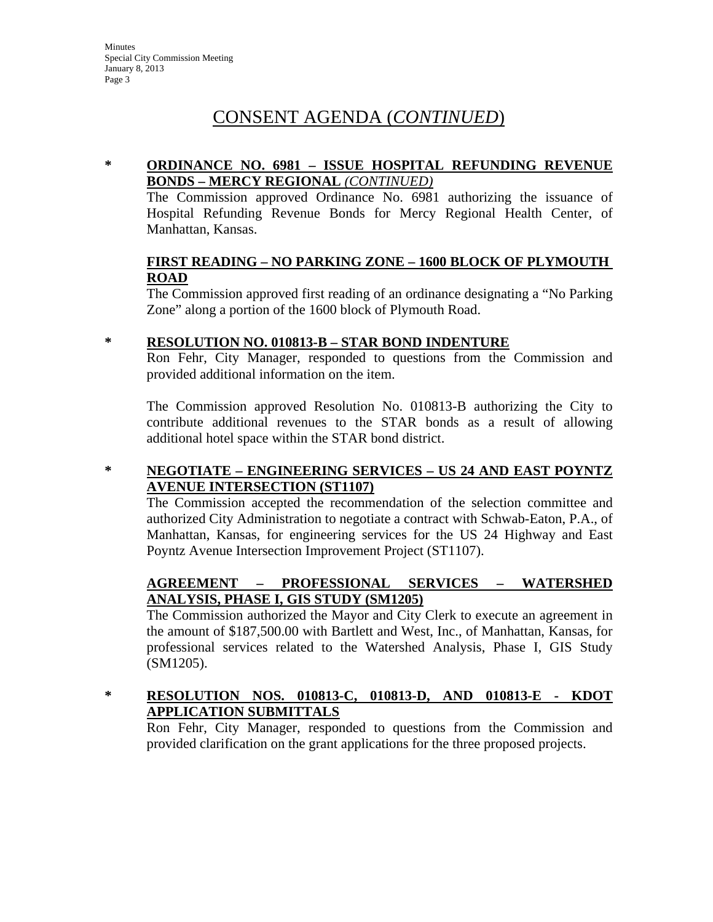### CONSENT AGENDA (*CONTINUED*)

### **\* ORDINANCE NO. 6981 – ISSUE HOSPITAL REFUNDING REVENUE BONDS – MERCY REGIONAL** *(CONTINUED)*

The Commission approved Ordinance No. 6981 authorizing the issuance of Hospital Refunding Revenue Bonds for Mercy Regional Health Center, of Manhattan, Kansas.

### **FIRST READING – NO PARKING ZONE – 1600 BLOCK OF PLYMOUTH ROAD**

The Commission approved first reading of an ordinance designating a "No Parking Zone" along a portion of the 1600 block of Plymouth Road.

### **\* RESOLUTION NO. 010813-B – STAR BOND INDENTURE**

Ron Fehr, City Manager, responded to questions from the Commission and provided additional information on the item.

The Commission approved Resolution No. 010813-B authorizing the City to contribute additional revenues to the STAR bonds as a result of allowing additional hotel space within the STAR bond district.

### **\* NEGOTIATE – ENGINEERING SERVICES – US 24 AND EAST POYNTZ AVENUE INTERSECTION (ST1107)**

The Commission accepted the recommendation of the selection committee and authorized City Administration to negotiate a contract with Schwab-Eaton, P.A., of Manhattan, Kansas, for engineering services for the US 24 Highway and East Poyntz Avenue Intersection Improvement Project (ST1107).

### **AGREEMENT – PROFESSIONAL SERVICES – WATERSHED ANALYSIS, PHASE I, GIS STUDY (SM1205)**

The Commission authorized the Mayor and City Clerk to execute an agreement in the amount of \$187,500.00 with Bartlett and West, Inc., of Manhattan, Kansas, for professional services related to the Watershed Analysis, Phase I, GIS Study (SM1205).

### **\* RESOLUTION NOS. 010813-C, 010813-D, AND 010813-E - KDOT APPLICATION SUBMITTALS**

Ron Fehr, City Manager, responded to questions from the Commission and provided clarification on the grant applications for the three proposed projects.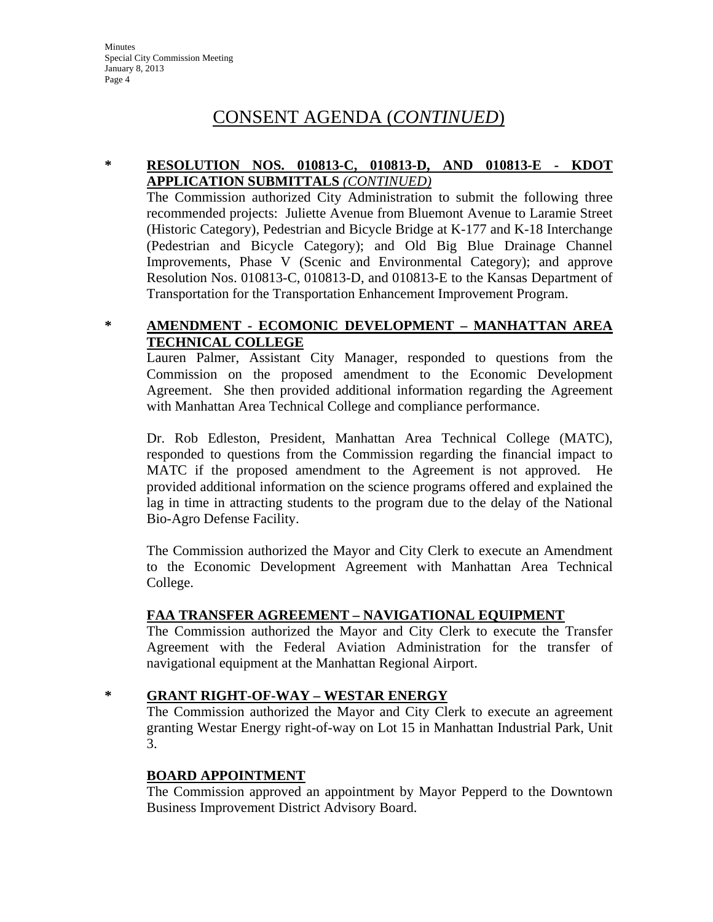### CONSENT AGENDA (*CONTINUED*)

### **\* RESOLUTION NOS. 010813-C, 010813-D, AND 010813-E - KDOT APPLICATION SUBMITTALS** *(CONTINUED)*

The Commission authorized City Administration to submit the following three recommended projects: Juliette Avenue from Bluemont Avenue to Laramie Street (Historic Category), Pedestrian and Bicycle Bridge at K-177 and K-18 Interchange (Pedestrian and Bicycle Category); and Old Big Blue Drainage Channel Improvements, Phase V (Scenic and Environmental Category); and approve Resolution Nos. 010813-C, 010813-D, and 010813-E to the Kansas Department of Transportation for the Transportation Enhancement Improvement Program.

### **\* AMENDMENT - ECOMONIC DEVELOPMENT – MANHATTAN AREA TECHNICAL COLLEGE**

Lauren Palmer, Assistant City Manager, responded to questions from the Commission on the proposed amendment to the Economic Development Agreement. She then provided additional information regarding the Agreement with Manhattan Area Technical College and compliance performance.

Dr. Rob Edleston, President, Manhattan Area Technical College (MATC), responded to questions from the Commission regarding the financial impact to MATC if the proposed amendment to the Agreement is not approved. He provided additional information on the science programs offered and explained the lag in time in attracting students to the program due to the delay of the National Bio-Agro Defense Facility.

The Commission authorized the Mayor and City Clerk to execute an Amendment to the Economic Development Agreement with Manhattan Area Technical College.

### **FAA TRANSFER AGREEMENT – NAVIGATIONAL EQUIPMENT**

The Commission authorized the Mayor and City Clerk to execute the Transfer Agreement with the Federal Aviation Administration for the transfer of navigational equipment at the Manhattan Regional Airport.

### **\* GRANT RIGHT-OF-WAY – WESTAR ENERGY**

The Commission authorized the Mayor and City Clerk to execute an agreement granting Westar Energy right-of-way on Lot 15 in Manhattan Industrial Park, Unit 3.

#### **BOARD APPOINTMENT**

The Commission approved an appointment by Mayor Pepperd to the Downtown Business Improvement District Advisory Board.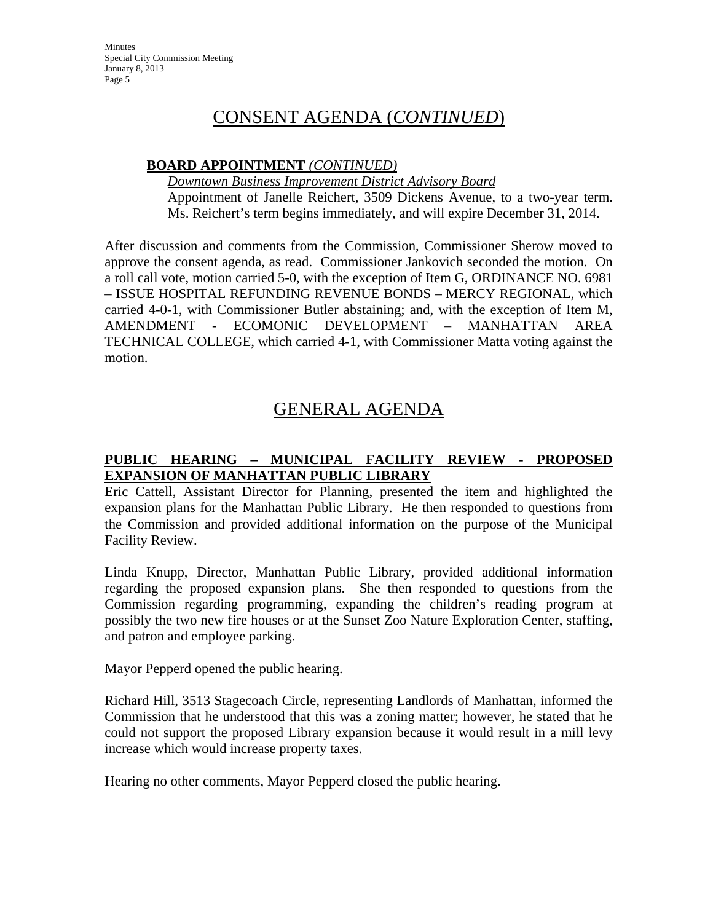Minutes Special City Commission Meeting January 8, 2013 Page 5

### CONSENT AGENDA (*CONTINUED*)

### **BOARD APPOINTMENT** *(CONTINUED)*

*Downtown Business Improvement District Advisory Board* Appointment of Janelle Reichert, 3509 Dickens Avenue, to a two-year term. Ms. Reichert's term begins immediately, and will expire December 31, 2014.

After discussion and comments from the Commission, Commissioner Sherow moved to approve the consent agenda, as read. Commissioner Jankovich seconded the motion. On a roll call vote, motion carried 5-0, with the exception of Item G, ORDINANCE NO. 6981 – ISSUE HOSPITAL REFUNDING REVENUE BONDS – MERCY REGIONAL, which carried 4-0-1, with Commissioner Butler abstaining; and, with the exception of Item M, AMENDMENT - ECOMONIC DEVELOPMENT – MANHATTAN AREA TECHNICAL COLLEGE, which carried 4-1, with Commissioner Matta voting against the motion.

### GENERAL AGENDA

### **PUBLIC HEARING – MUNICIPAL FACILITY REVIEW - PROPOSED EXPANSION OF MANHATTAN PUBLIC LIBRARY**

Eric Cattell, Assistant Director for Planning, presented the item and highlighted the expansion plans for the Manhattan Public Library. He then responded to questions from the Commission and provided additional information on the purpose of the Municipal Facility Review.

Linda Knupp, Director, Manhattan Public Library, provided additional information regarding the proposed expansion plans. She then responded to questions from the Commission regarding programming, expanding the children's reading program at possibly the two new fire houses or at the Sunset Zoo Nature Exploration Center, staffing, and patron and employee parking.

Mayor Pepperd opened the public hearing.

Richard Hill, 3513 Stagecoach Circle, representing Landlords of Manhattan, informed the Commission that he understood that this was a zoning matter; however, he stated that he could not support the proposed Library expansion because it would result in a mill levy increase which would increase property taxes.

Hearing no other comments, Mayor Pepperd closed the public hearing.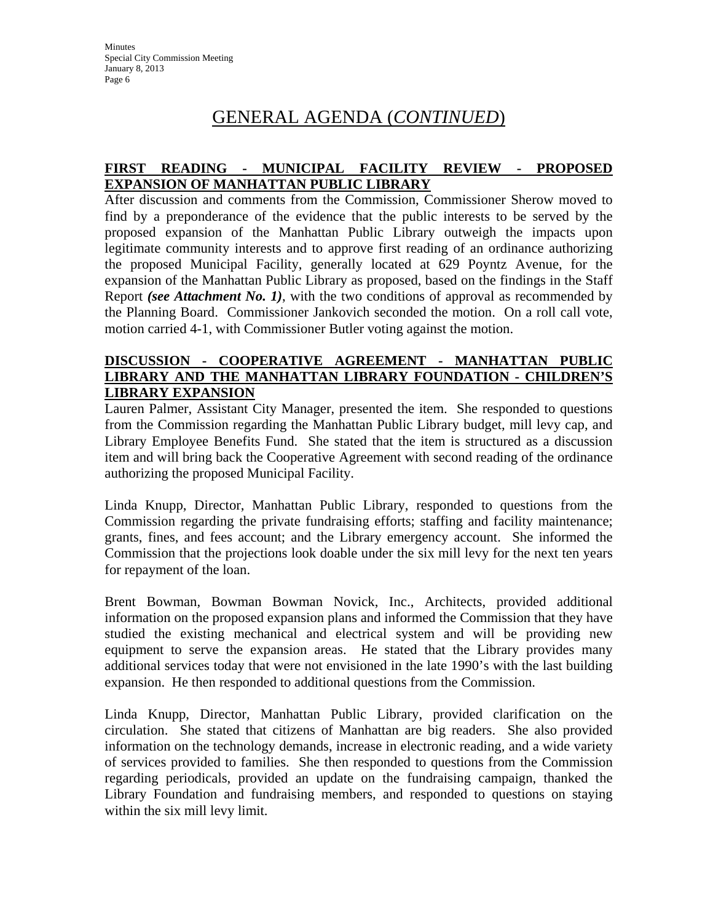### GENERAL AGENDA (*CONTINUED*)

### **FIRST READING - MUNICIPAL FACILITY REVIEW - PROPOSED EXPANSION OF MANHATTAN PUBLIC LIBRARY**

After discussion and comments from the Commission, Commissioner Sherow moved to find by a preponderance of the evidence that the public interests to be served by the proposed expansion of the Manhattan Public Library outweigh the impacts upon legitimate community interests and to approve first reading of an ordinance authorizing the proposed Municipal Facility, generally located at 629 Poyntz Avenue, for the expansion of the Manhattan Public Library as proposed, based on the findings in the Staff Report *(see Attachment No. 1)*, with the two conditions of approval as recommended by the Planning Board. Commissioner Jankovich seconded the motion. On a roll call vote, motion carried 4-1, with Commissioner Butler voting against the motion.

#### **DISCUSSION - COOPERATIVE AGREEMENT - MANHATTAN PUBLIC LIBRARY AND THE MANHATTAN LIBRARY FOUNDATION - CHILDREN'S LIBRARY EXPANSION**

Lauren Palmer, Assistant City Manager, presented the item. She responded to questions from the Commission regarding the Manhattan Public Library budget, mill levy cap, and Library Employee Benefits Fund. She stated that the item is structured as a discussion item and will bring back the Cooperative Agreement with second reading of the ordinance authorizing the proposed Municipal Facility.

Linda Knupp, Director, Manhattan Public Library, responded to questions from the Commission regarding the private fundraising efforts; staffing and facility maintenance; grants, fines, and fees account; and the Library emergency account. She informed the Commission that the projections look doable under the six mill levy for the next ten years for repayment of the loan.

Brent Bowman, Bowman Bowman Novick, Inc., Architects, provided additional information on the proposed expansion plans and informed the Commission that they have studied the existing mechanical and electrical system and will be providing new equipment to serve the expansion areas. He stated that the Library provides many additional services today that were not envisioned in the late 1990's with the last building expansion. He then responded to additional questions from the Commission.

Linda Knupp, Director, Manhattan Public Library, provided clarification on the circulation. She stated that citizens of Manhattan are big readers. She also provided information on the technology demands, increase in electronic reading, and a wide variety of services provided to families. She then responded to questions from the Commission regarding periodicals, provided an update on the fundraising campaign, thanked the Library Foundation and fundraising members, and responded to questions on staying within the six mill levy limit.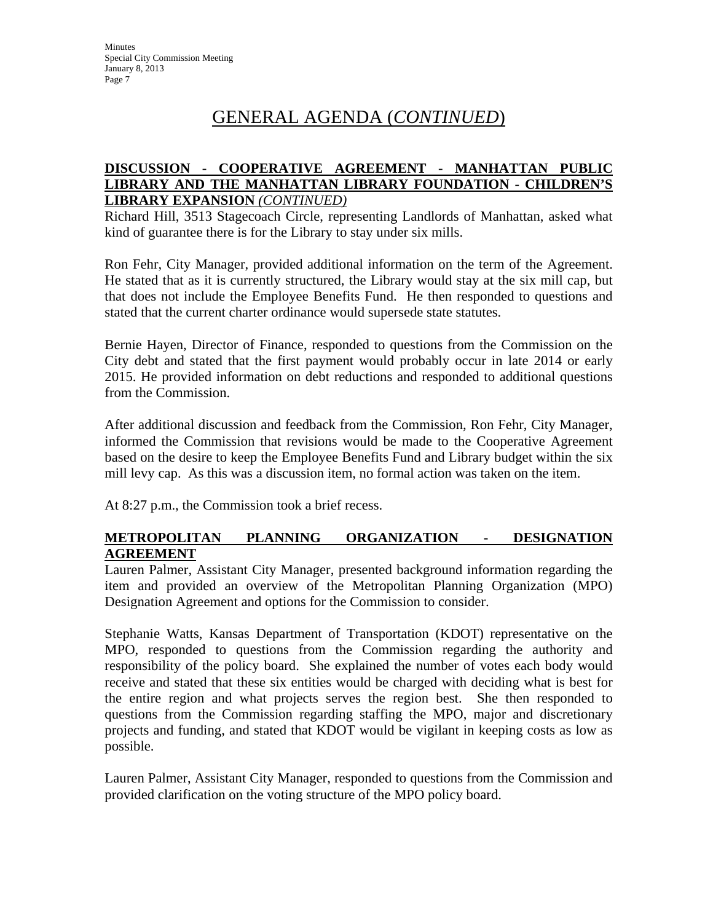## GENERAL AGENDA (*CONTINUED*)

### **DISCUSSION - COOPERATIVE AGREEMENT - MANHATTAN PUBLIC LIBRARY AND THE MANHATTAN LIBRARY FOUNDATION - CHILDREN'S LIBRARY EXPANSION** *(CONTINUED)*

Richard Hill, 3513 Stagecoach Circle, representing Landlords of Manhattan, asked what kind of guarantee there is for the Library to stay under six mills.

Ron Fehr, City Manager, provided additional information on the term of the Agreement. He stated that as it is currently structured, the Library would stay at the six mill cap, but that does not include the Employee Benefits Fund. He then responded to questions and stated that the current charter ordinance would supersede state statutes.

Bernie Hayen, Director of Finance, responded to questions from the Commission on the City debt and stated that the first payment would probably occur in late 2014 or early 2015. He provided information on debt reductions and responded to additional questions from the Commission.

After additional discussion and feedback from the Commission, Ron Fehr, City Manager, informed the Commission that revisions would be made to the Cooperative Agreement based on the desire to keep the Employee Benefits Fund and Library budget within the six mill levy cap. As this was a discussion item, no formal action was taken on the item.

At 8:27 p.m., the Commission took a brief recess.

### **METROPOLITAN PLANNING ORGANIZATION - DESIGNATION AGREEMENT**

Lauren Palmer, Assistant City Manager, presented background information regarding the item and provided an overview of the Metropolitan Planning Organization (MPO) Designation Agreement and options for the Commission to consider.

Stephanie Watts, Kansas Department of Transportation (KDOT) representative on the MPO, responded to questions from the Commission regarding the authority and responsibility of the policy board. She explained the number of votes each body would receive and stated that these six entities would be charged with deciding what is best for the entire region and what projects serves the region best. She then responded to questions from the Commission regarding staffing the MPO, major and discretionary projects and funding, and stated that KDOT would be vigilant in keeping costs as low as possible.

Lauren Palmer, Assistant City Manager, responded to questions from the Commission and provided clarification on the voting structure of the MPO policy board.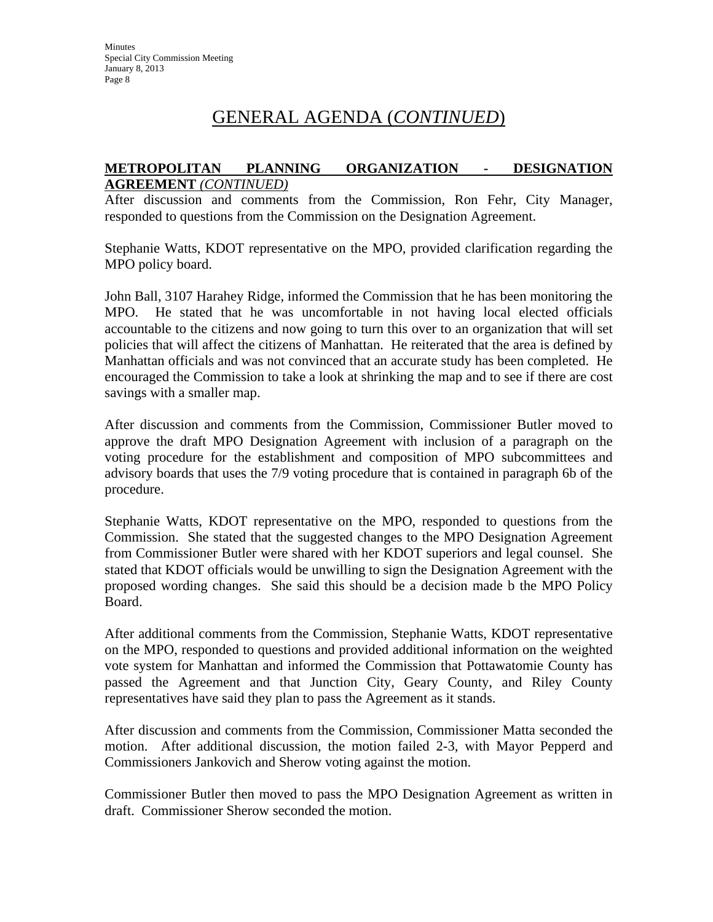### GENERAL AGENDA (*CONTINUED*)

#### **METROPOLITAN PLANNING ORGANIZATION - DESIGNATION AGREEMENT** *(CONTINUED)*

After discussion and comments from the Commission, Ron Fehr, City Manager, responded to questions from the Commission on the Designation Agreement.

Stephanie Watts, KDOT representative on the MPO, provided clarification regarding the MPO policy board.

John Ball, 3107 Harahey Ridge, informed the Commission that he has been monitoring the MPO. He stated that he was uncomfortable in not having local elected officials accountable to the citizens and now going to turn this over to an organization that will set policies that will affect the citizens of Manhattan. He reiterated that the area is defined by Manhattan officials and was not convinced that an accurate study has been completed. He encouraged the Commission to take a look at shrinking the map and to see if there are cost savings with a smaller map.

After discussion and comments from the Commission, Commissioner Butler moved to approve the draft MPO Designation Agreement with inclusion of a paragraph on the voting procedure for the establishment and composition of MPO subcommittees and advisory boards that uses the 7/9 voting procedure that is contained in paragraph 6b of the procedure.

Stephanie Watts, KDOT representative on the MPO, responded to questions from the Commission. She stated that the suggested changes to the MPO Designation Agreement from Commissioner Butler were shared with her KDOT superiors and legal counsel. She stated that KDOT officials would be unwilling to sign the Designation Agreement with the proposed wording changes. She said this should be a decision made b the MPO Policy Board.

After additional comments from the Commission, Stephanie Watts, KDOT representative on the MPO, responded to questions and provided additional information on the weighted vote system for Manhattan and informed the Commission that Pottawatomie County has passed the Agreement and that Junction City, Geary County, and Riley County representatives have said they plan to pass the Agreement as it stands.

After discussion and comments from the Commission, Commissioner Matta seconded the motion. After additional discussion, the motion failed 2-3, with Mayor Pepperd and Commissioners Jankovich and Sherow voting against the motion.

Commissioner Butler then moved to pass the MPO Designation Agreement as written in draft. Commissioner Sherow seconded the motion.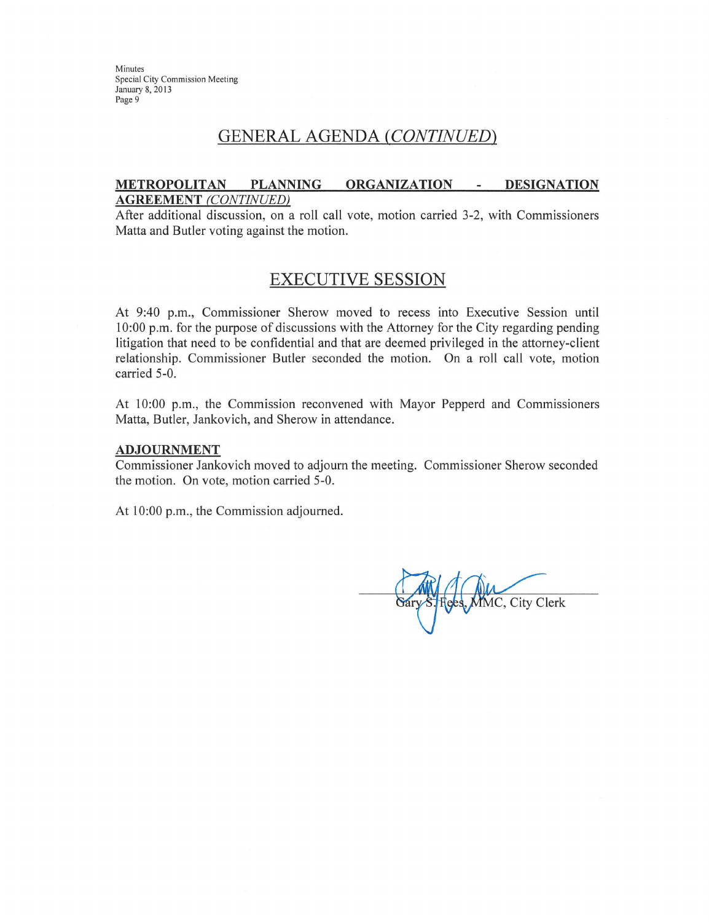Minutes **Special City Commission Meeting** January 8, 2013 Page 9

### **GENERAL AGENDA (CONTINUED)**

#### METROPOLITAN PLANNING ORGANIZATION -**DESIGNATION AGREEMENT** (CONTINUED)

After additional discussion, on a roll call vote, motion carried 3-2, with Commissioners Matta and Butler voting against the motion.

### **EXECUTIVE SESSION**

At 9:40 p.m., Commissioner Sherow moved to recess into Executive Session until 10:00 p.m. for the purpose of discussions with the Attorney for the City regarding pending litigation that need to be confidential and that are deemed privileged in the attorney-client relationship. Commissioner Butler seconded the motion. On a roll call vote, motion carried 5-0.

At 10:00 p.m., the Commission reconvened with Mayor Pepperd and Commissioners Matta, Butler, Jankovich, and Sherow in attendance.

#### **ADJOURNMENT**

Commissioner Jankovich moved to adjourn the meeting. Commissioner Sherow seconded the motion. On vote, motion carried 5-0.

At 10:00 p.m., the Commission adjourned.

MMC, City Clerk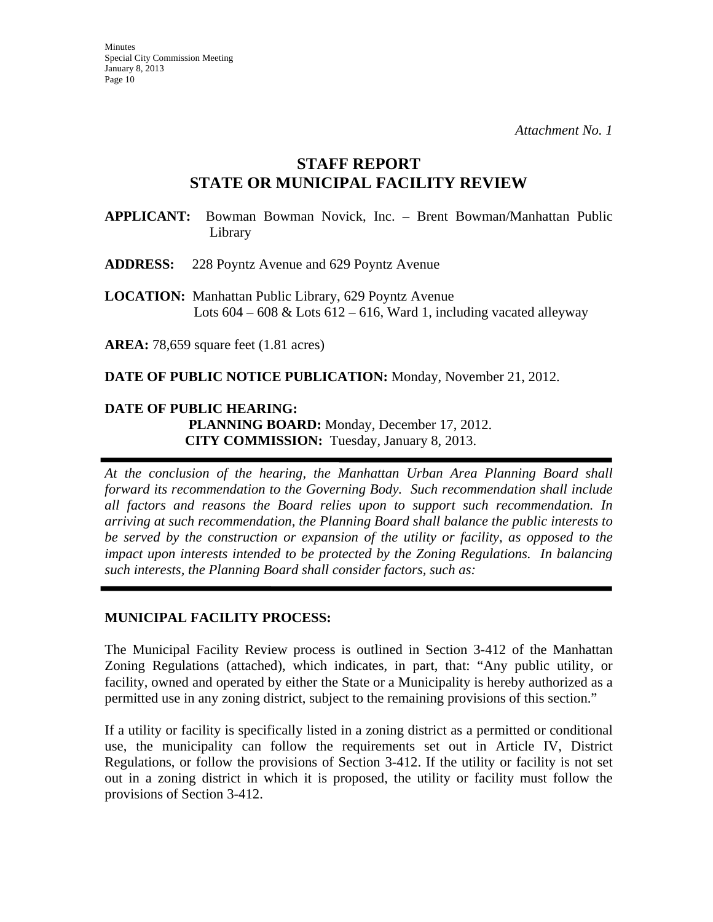### **STAFF REPORT STATE OR MUNICIPAL FACILITY REVIEW**

**APPLICANT:** Bowman Bowman Novick, Inc. – Brent Bowman/Manhattan Public Library

**ADDRESS:** 228 Poyntz Avenue and 629 Poyntz Avenue

**LOCATION:** Manhattan Public Library, 629 Poyntz Avenue Lots  $604 - 608 \&$  Lots  $612 - 616$ , Ward 1, including vacated alleyway

**AREA:** 78,659 square feet (1.81 acres)

**DATE OF PUBLIC NOTICE PUBLICATION:** Monday, November 21, 2012.

### **DATE OF PUBLIC HEARING: PLANNING BOARD:** Monday, December 17, 2012. **CITY COMMISSION:** Tuesday, January 8, 2013.

*At the conclusion of the hearing, the Manhattan Urban Area Planning Board shall forward its recommendation to the Governing Body. Such recommendation shall include all factors and reasons the Board relies upon to support such recommendation. In arriving at such recommendation, the Planning Board shall balance the public interests to be served by the construction or expansion of the utility or facility, as opposed to the impact upon interests intended to be protected by the Zoning Regulations. In balancing such interests, the Planning Board shall consider factors, such as:* 

### **MUNICIPAL FACILITY PROCESS:**

The Municipal Facility Review process is outlined in Section 3-412 of the Manhattan Zoning Regulations (attached), which indicates, in part, that: "Any public utility, or facility, owned and operated by either the State or a Municipality is hereby authorized as a permitted use in any zoning district, subject to the remaining provisions of this section."

If a utility or facility is specifically listed in a zoning district as a permitted or conditional use, the municipality can follow the requirements set out in Article IV, District Regulations, or follow the provisions of Section 3-412. If the utility or facility is not set out in a zoning district in which it is proposed, the utility or facility must follow the provisions of Section 3-412.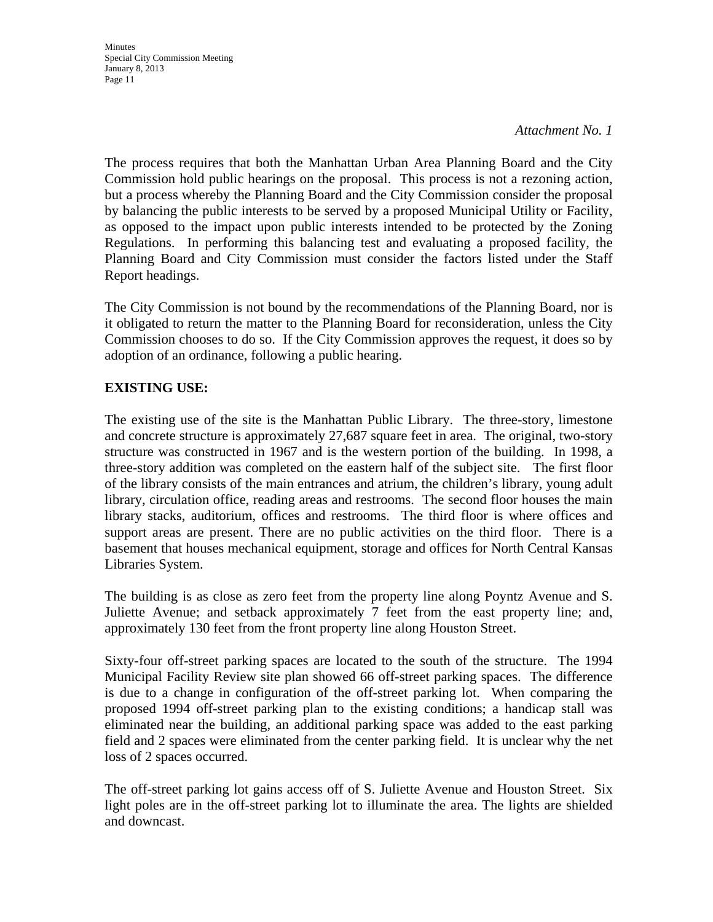Minutes Special City Commission Meeting January 8, 2013 Page 11

#### *Attachment No. 1*

The process requires that both the Manhattan Urban Area Planning Board and the City Commission hold public hearings on the proposal. This process is not a rezoning action, but a process whereby the Planning Board and the City Commission consider the proposal by balancing the public interests to be served by a proposed Municipal Utility or Facility, as opposed to the impact upon public interests intended to be protected by the Zoning Regulations. In performing this balancing test and evaluating a proposed facility, the Planning Board and City Commission must consider the factors listed under the Staff Report headings.

The City Commission is not bound by the recommendations of the Planning Board, nor is it obligated to return the matter to the Planning Board for reconsideration, unless the City Commission chooses to do so. If the City Commission approves the request, it does so by adoption of an ordinance, following a public hearing.

### **EXISTING USE:**

The existing use of the site is the Manhattan Public Library. The three-story, limestone and concrete structure is approximately 27,687 square feet in area. The original, two-story structure was constructed in 1967 and is the western portion of the building. In 1998, a three-story addition was completed on the eastern half of the subject site. The first floor of the library consists of the main entrances and atrium, the children's library, young adult library, circulation office, reading areas and restrooms. The second floor houses the main library stacks, auditorium, offices and restrooms. The third floor is where offices and support areas are present. There are no public activities on the third floor. There is a basement that houses mechanical equipment, storage and offices for North Central Kansas Libraries System.

The building is as close as zero feet from the property line along Poyntz Avenue and S. Juliette Avenue; and setback approximately 7 feet from the east property line; and, approximately 130 feet from the front property line along Houston Street.

Sixty-four off-street parking spaces are located to the south of the structure. The 1994 Municipal Facility Review site plan showed 66 off-street parking spaces. The difference is due to a change in configuration of the off-street parking lot. When comparing the proposed 1994 off-street parking plan to the existing conditions; a handicap stall was eliminated near the building, an additional parking space was added to the east parking field and 2 spaces were eliminated from the center parking field. It is unclear why the net loss of 2 spaces occurred.

The off-street parking lot gains access off of S. Juliette Avenue and Houston Street. Six light poles are in the off-street parking lot to illuminate the area. The lights are shielded and downcast.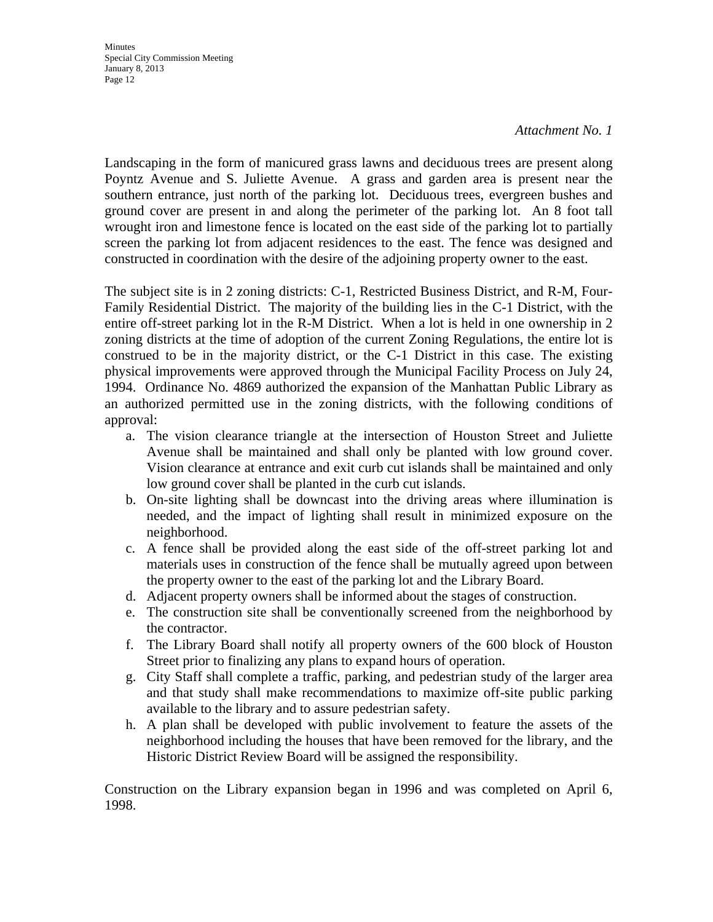Minutes Special City Commission Meeting January 8, 2013 Page 12

#### *Attachment No. 1*

Landscaping in the form of manicured grass lawns and deciduous trees are present along Poyntz Avenue and S. Juliette Avenue. A grass and garden area is present near the southern entrance, just north of the parking lot. Deciduous trees, evergreen bushes and ground cover are present in and along the perimeter of the parking lot. An 8 foot tall wrought iron and limestone fence is located on the east side of the parking lot to partially screen the parking lot from adjacent residences to the east. The fence was designed and constructed in coordination with the desire of the adjoining property owner to the east.

The subject site is in 2 zoning districts: C-1, Restricted Business District, and R-M, Four-Family Residential District. The majority of the building lies in the C-1 District, with the entire off-street parking lot in the R-M District. When a lot is held in one ownership in 2 zoning districts at the time of adoption of the current Zoning Regulations, the entire lot is construed to be in the majority district, or the C-1 District in this case. The existing physical improvements were approved through the Municipal Facility Process on July 24, 1994. Ordinance No. 4869 authorized the expansion of the Manhattan Public Library as an authorized permitted use in the zoning districts, with the following conditions of approval:

- a. The vision clearance triangle at the intersection of Houston Street and Juliette Avenue shall be maintained and shall only be planted with low ground cover. Vision clearance at entrance and exit curb cut islands shall be maintained and only low ground cover shall be planted in the curb cut islands.
- b. On-site lighting shall be downcast into the driving areas where illumination is needed, and the impact of lighting shall result in minimized exposure on the neighborhood.
- c. A fence shall be provided along the east side of the off-street parking lot and materials uses in construction of the fence shall be mutually agreed upon between the property owner to the east of the parking lot and the Library Board.
- d. Adjacent property owners shall be informed about the stages of construction.
- e. The construction site shall be conventionally screened from the neighborhood by the contractor.
- f. The Library Board shall notify all property owners of the 600 block of Houston Street prior to finalizing any plans to expand hours of operation.
- g. City Staff shall complete a traffic, parking, and pedestrian study of the larger area and that study shall make recommendations to maximize off-site public parking available to the library and to assure pedestrian safety.
- h. A plan shall be developed with public involvement to feature the assets of the neighborhood including the houses that have been removed for the library, and the Historic District Review Board will be assigned the responsibility.

Construction on the Library expansion began in 1996 and was completed on April 6, 1998.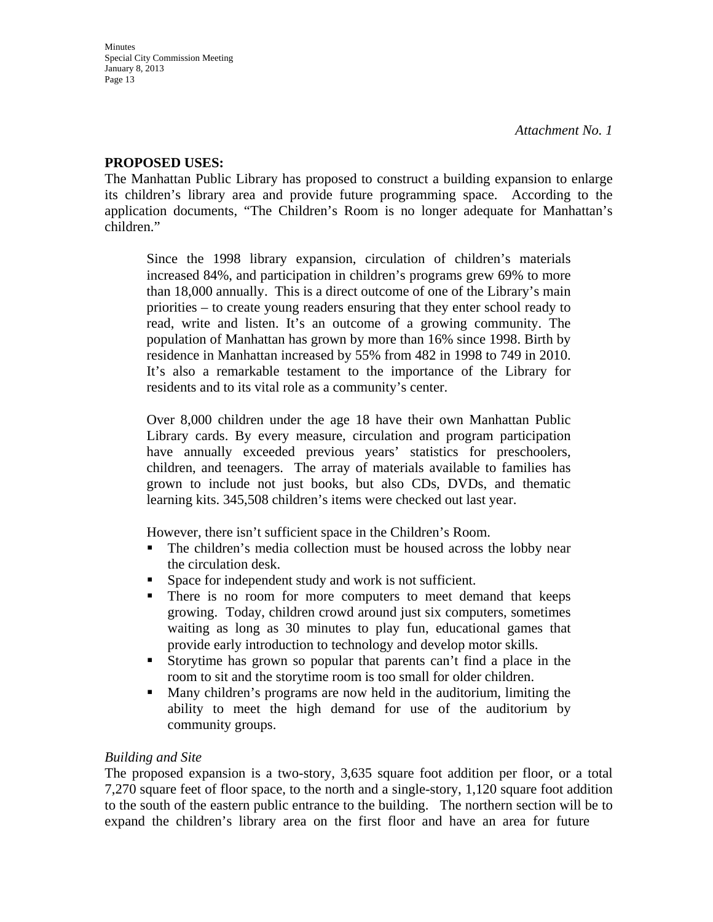### **PROPOSED USES:**

The Manhattan Public Library has proposed to construct a building expansion to enlarge its children's library area and provide future programming space. According to the application documents, "The Children's Room is no longer adequate for Manhattan's children."

Since the 1998 library expansion, circulation of children's materials increased 84%, and participation in children's programs grew 69% to more than 18,000 annually. This is a direct outcome of one of the Library's main priorities – to create young readers ensuring that they enter school ready to read, write and listen. It's an outcome of a growing community. The population of Manhattan has grown by more than 16% since 1998. Birth by residence in Manhattan increased by 55% from 482 in 1998 to 749 in 2010. It's also a remarkable testament to the importance of the Library for residents and to its vital role as a community's center.

Over 8,000 children under the age 18 have their own Manhattan Public Library cards. By every measure, circulation and program participation have annually exceeded previous years' statistics for preschoolers, children, and teenagers. The array of materials available to families has grown to include not just books, but also CDs, DVDs, and thematic learning kits. 345,508 children's items were checked out last year.

However, there isn't sufficient space in the Children's Room.

- The children's media collection must be housed across the lobby near the circulation desk.
- Space for independent study and work is not sufficient.
- There is no room for more computers to meet demand that keeps growing. Today, children crowd around just six computers, sometimes waiting as long as 30 minutes to play fun, educational games that provide early introduction to technology and develop motor skills.
- Storytime has grown so popular that parents can't find a place in the room to sit and the storytime room is too small for older children.
- Many children's programs are now held in the auditorium, limiting the ability to meet the high demand for use of the auditorium by community groups.

### *Building and Site*

The proposed expansion is a two-story, 3,635 square foot addition per floor, or a total 7,270 square feet of floor space, to the north and a single-story, 1,120 square foot addition to the south of the eastern public entrance to the building. The northern section will be to expand the children's library area on the first floor and have an area for future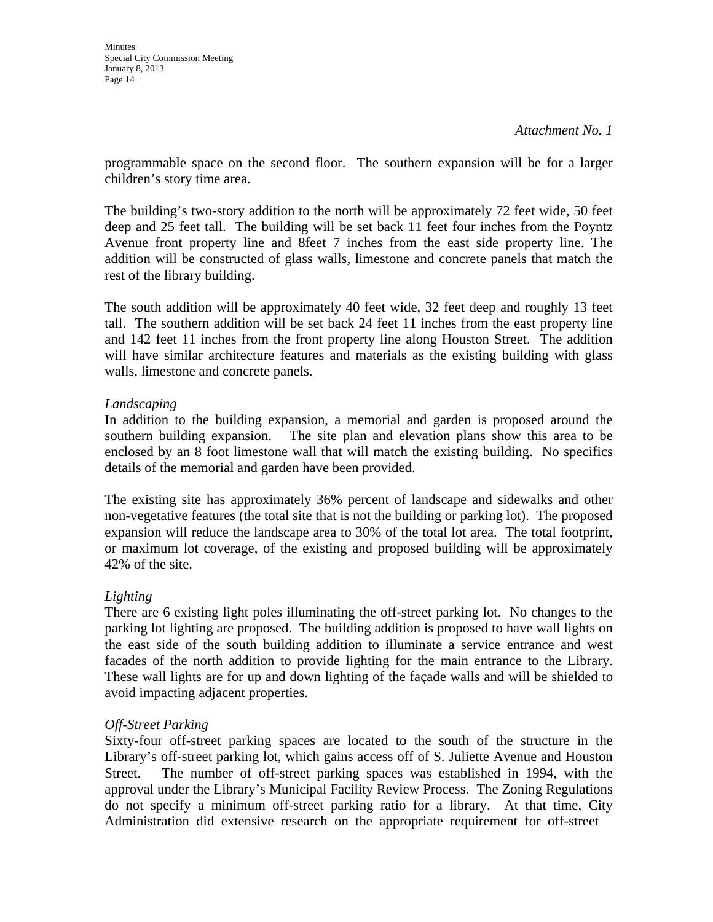programmable space on the second floor. The southern expansion will be for a larger children's story time area.

The building's two-story addition to the north will be approximately 72 feet wide, 50 feet deep and 25 feet tall. The building will be set back 11 feet four inches from the Poyntz Avenue front property line and 8feet 7 inches from the east side property line. The addition will be constructed of glass walls, limestone and concrete panels that match the rest of the library building.

The south addition will be approximately 40 feet wide, 32 feet deep and roughly 13 feet tall. The southern addition will be set back 24 feet 11 inches from the east property line and 142 feet 11 inches from the front property line along Houston Street. The addition will have similar architecture features and materials as the existing building with glass walls, limestone and concrete panels.

### *Landscaping*

In addition to the building expansion, a memorial and garden is proposed around the southern building expansion. The site plan and elevation plans show this area to be enclosed by an 8 foot limestone wall that will match the existing building. No specifics details of the memorial and garden have been provided.

The existing site has approximately 36% percent of landscape and sidewalks and other non-vegetative features (the total site that is not the building or parking lot). The proposed expansion will reduce the landscape area to 30% of the total lot area. The total footprint, or maximum lot coverage, of the existing and proposed building will be approximately 42% of the site.

### *Lighting*

There are 6 existing light poles illuminating the off-street parking lot. No changes to the parking lot lighting are proposed. The building addition is proposed to have wall lights on the east side of the south building addition to illuminate a service entrance and west facades of the north addition to provide lighting for the main entrance to the Library. These wall lights are for up and down lighting of the façade walls and will be shielded to avoid impacting adjacent properties.

### *Off-Street Parking*

Sixty-four off-street parking spaces are located to the south of the structure in the Library's off-street parking lot, which gains access off of S. Juliette Avenue and Houston Street. The number of off-street parking spaces was established in 1994, with the approval under the Library's Municipal Facility Review Process. The Zoning Regulations do not specify a minimum off-street parking ratio for a library. At that time, City Administration did extensive research on the appropriate requirement for off-street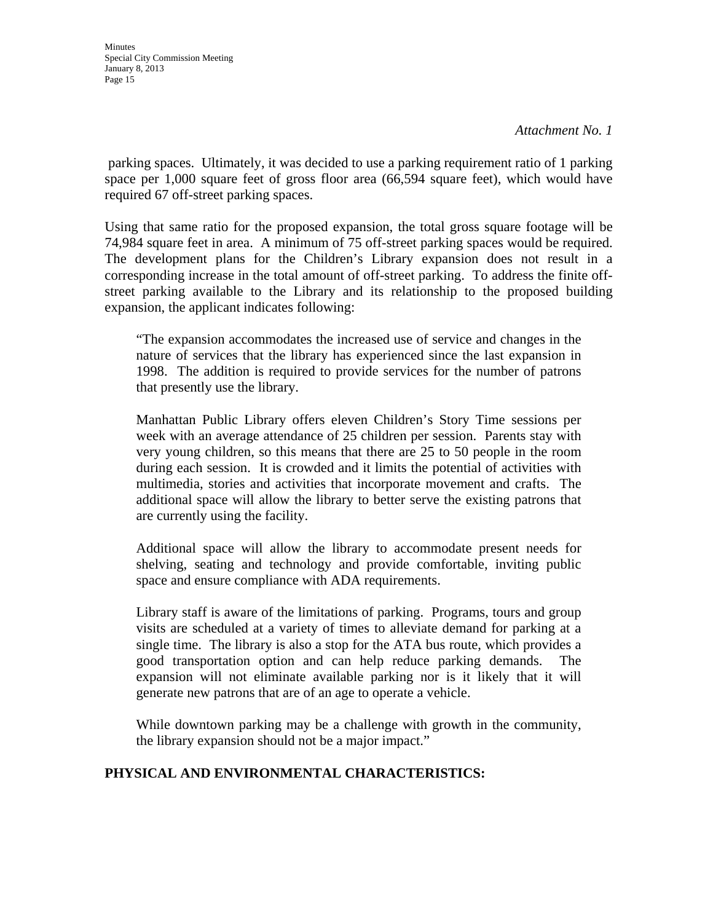parking spaces. Ultimately, it was decided to use a parking requirement ratio of 1 parking space per 1,000 square feet of gross floor area (66,594 square feet), which would have required 67 off-street parking spaces.

Using that same ratio for the proposed expansion, the total gross square footage will be 74,984 square feet in area. A minimum of 75 off-street parking spaces would be required. The development plans for the Children's Library expansion does not result in a corresponding increase in the total amount of off-street parking. To address the finite offstreet parking available to the Library and its relationship to the proposed building expansion, the applicant indicates following:

"The expansion accommodates the increased use of service and changes in the nature of services that the library has experienced since the last expansion in 1998. The addition is required to provide services for the number of patrons that presently use the library.

Manhattan Public Library offers eleven Children's Story Time sessions per week with an average attendance of 25 children per session. Parents stay with very young children, so this means that there are 25 to 50 people in the room during each session. It is crowded and it limits the potential of activities with multimedia, stories and activities that incorporate movement and crafts. The additional space will allow the library to better serve the existing patrons that are currently using the facility.

Additional space will allow the library to accommodate present needs for shelving, seating and technology and provide comfortable, inviting public space and ensure compliance with ADA requirements.

Library staff is aware of the limitations of parking. Programs, tours and group visits are scheduled at a variety of times to alleviate demand for parking at a single time. The library is also a stop for the ATA bus route, which provides a good transportation option and can help reduce parking demands. expansion will not eliminate available parking nor is it likely that it will generate new patrons that are of an age to operate a vehicle.

While downtown parking may be a challenge with growth in the community, the library expansion should not be a major impact."

### **PHYSICAL AND ENVIRONMENTAL CHARACTERISTICS:**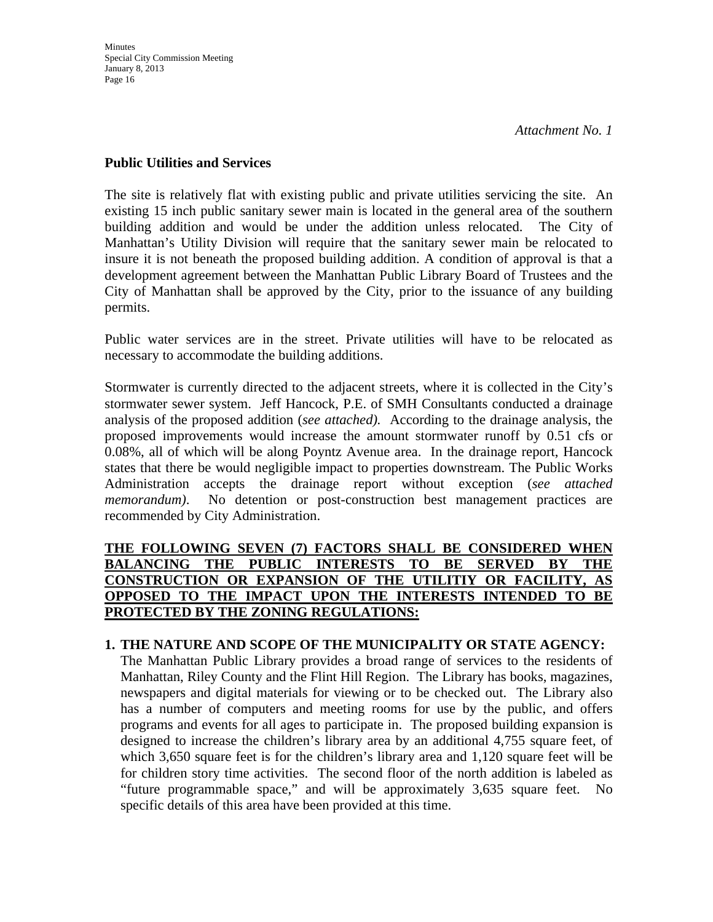### **Public Utilities and Services**

The site is relatively flat with existing public and private utilities servicing the site. An existing 15 inch public sanitary sewer main is located in the general area of the southern building addition and would be under the addition unless relocated. The City of Manhattan's Utility Division will require that the sanitary sewer main be relocated to insure it is not beneath the proposed building addition. A condition of approval is that a development agreement between the Manhattan Public Library Board of Trustees and the City of Manhattan shall be approved by the City, prior to the issuance of any building permits.

Public water services are in the street. Private utilities will have to be relocated as necessary to accommodate the building additions.

Stormwater is currently directed to the adjacent streets, where it is collected in the City's stormwater sewer system. Jeff Hancock, P.E. of SMH Consultants conducted a drainage analysis of the proposed addition (*see attached).* According to the drainage analysis, the proposed improvements would increase the amount stormwater runoff by 0.51 cfs or 0.08%, all of which will be along Poyntz Avenue area. In the drainage report, Hancock states that there be would negligible impact to properties downstream. The Public Works Administration accepts the drainage report without exception (*see attached memorandum)*. No detention or post-construction best management practices are recommended by City Administration.

### **THE FOLLOWING SEVEN (7) FACTORS SHALL BE CONSIDERED WHEN BALANCING THE PUBLIC INTERESTS TO BE SERVED BY THE CONSTRUCTION OR EXPANSION OF THE UTILITIY OR FACILITY, AS OPPOSED TO THE IMPACT UPON THE INTERESTS INTENDED TO BE PROTECTED BY THE ZONING REGULATIONS:**

### **1. THE NATURE AND SCOPE OF THE MUNICIPALITY OR STATE AGENCY:**

The Manhattan Public Library provides a broad range of services to the residents of Manhattan, Riley County and the Flint Hill Region. The Library has books, magazines, newspapers and digital materials for viewing or to be checked out. The Library also has a number of computers and meeting rooms for use by the public, and offers programs and events for all ages to participate in. The proposed building expansion is designed to increase the children's library area by an additional 4,755 square feet, of which 3,650 square feet is for the children's library area and 1,120 square feet will be for children story time activities. The second floor of the north addition is labeled as "future programmable space," and will be approximately 3,635 square feet. No specific details of this area have been provided at this time.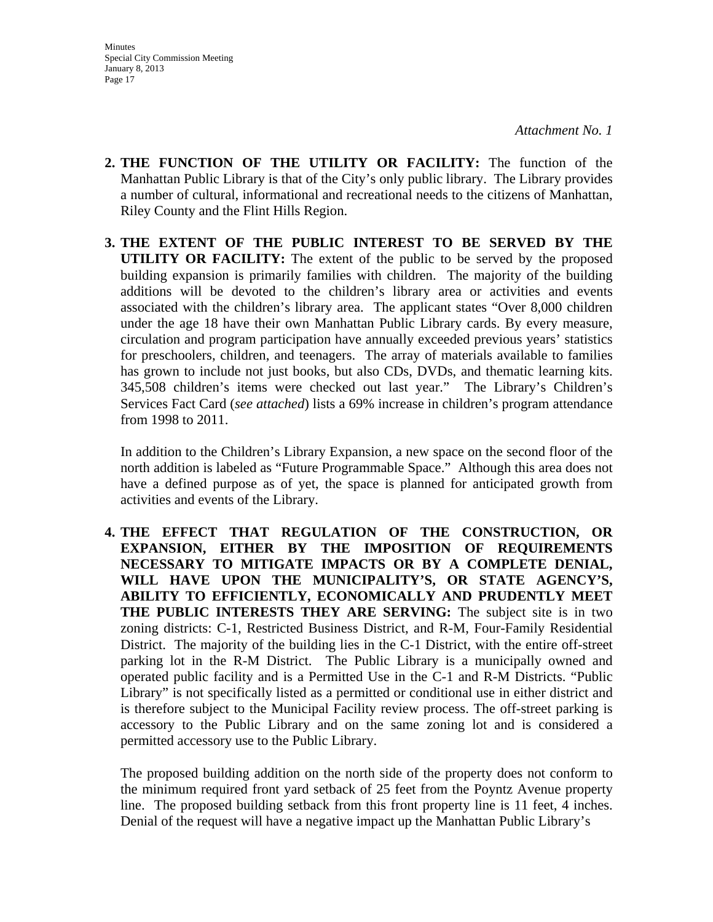- **2. THE FUNCTION OF THE UTILITY OR FACILITY:** The function of the Manhattan Public Library is that of the City's only public library. The Library provides a number of cultural, informational and recreational needs to the citizens of Manhattan, Riley County and the Flint Hills Region.
- **3. THE EXTENT OF THE PUBLIC INTEREST TO BE SERVED BY THE UTILITY OR FACILITY:** The extent of the public to be served by the proposed building expansion is primarily families with children. The majority of the building additions will be devoted to the children's library area or activities and events associated with the children's library area. The applicant states "Over 8,000 children under the age 18 have their own Manhattan Public Library cards. By every measure, circulation and program participation have annually exceeded previous years' statistics for preschoolers, children, and teenagers. The array of materials available to families has grown to include not just books, but also CDs, DVDs, and thematic learning kits. 345,508 children's items were checked out last year." The Library's Children's Services Fact Card (*see attached*) lists a 69% increase in children's program attendance from 1998 to 2011.

In addition to the Children's Library Expansion, a new space on the second floor of the north addition is labeled as "Future Programmable Space." Although this area does not have a defined purpose as of yet, the space is planned for anticipated growth from activities and events of the Library.

**4. THE EFFECT THAT REGULATION OF THE CONSTRUCTION, OR EXPANSION, EITHER BY THE IMPOSITION OF REQUIREMENTS NECESSARY TO MITIGATE IMPACTS OR BY A COMPLETE DENIAL, WILL HAVE UPON THE MUNICIPALITY'S, OR STATE AGENCY'S, ABILITY TO EFFICIENTLY, ECONOMICALLY AND PRUDENTLY MEET THE PUBLIC INTERESTS THEY ARE SERVING:** The subject site is in two zoning districts: C-1, Restricted Business District, and R-M, Four-Family Residential District. The majority of the building lies in the C-1 District, with the entire off-street parking lot in the R-M District. The Public Library is a municipally owned and operated public facility and is a Permitted Use in the C-1 and R-M Districts. "Public Library" is not specifically listed as a permitted or conditional use in either district and is therefore subject to the Municipal Facility review process. The off-street parking is accessory to the Public Library and on the same zoning lot and is considered a permitted accessory use to the Public Library.

The proposed building addition on the north side of the property does not conform to the minimum required front yard setback of 25 feet from the Poyntz Avenue property line. The proposed building setback from this front property line is 11 feet, 4 inches. Denial of the request will have a negative impact up the Manhattan Public Library's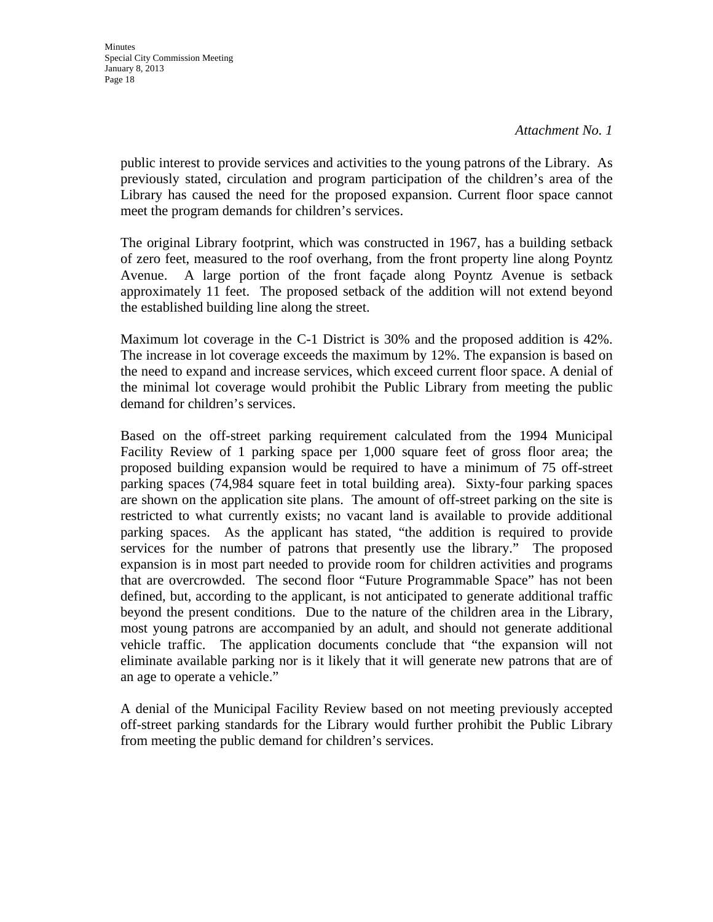public interest to provide services and activities to the young patrons of the Library. As previously stated, circulation and program participation of the children's area of the Library has caused the need for the proposed expansion. Current floor space cannot meet the program demands for children's services.

The original Library footprint, which was constructed in 1967, has a building setback of zero feet, measured to the roof overhang, from the front property line along Poyntz Avenue. A large portion of the front façade along Poyntz Avenue is setback approximately 11 feet. The proposed setback of the addition will not extend beyond the established building line along the street.

Maximum lot coverage in the C-1 District is 30% and the proposed addition is 42%. The increase in lot coverage exceeds the maximum by 12%. The expansion is based on the need to expand and increase services, which exceed current floor space. A denial of the minimal lot coverage would prohibit the Public Library from meeting the public demand for children's services.

Based on the off-street parking requirement calculated from the 1994 Municipal Facility Review of 1 parking space per 1,000 square feet of gross floor area; the proposed building expansion would be required to have a minimum of 75 off-street parking spaces (74,984 square feet in total building area). Sixty-four parking spaces are shown on the application site plans. The amount of off-street parking on the site is restricted to what currently exists; no vacant land is available to provide additional parking spaces. As the applicant has stated, "the addition is required to provide services for the number of patrons that presently use the library." The proposed expansion is in most part needed to provide room for children activities and programs that are overcrowded. The second floor "Future Programmable Space" has not been defined, but, according to the applicant, is not anticipated to generate additional traffic beyond the present conditions. Due to the nature of the children area in the Library, most young patrons are accompanied by an adult, and should not generate additional vehicle traffic. The application documents conclude that "the expansion will not eliminate available parking nor is it likely that it will generate new patrons that are of an age to operate a vehicle."

A denial of the Municipal Facility Review based on not meeting previously accepted off-street parking standards for the Library would further prohibit the Public Library from meeting the public demand for children's services.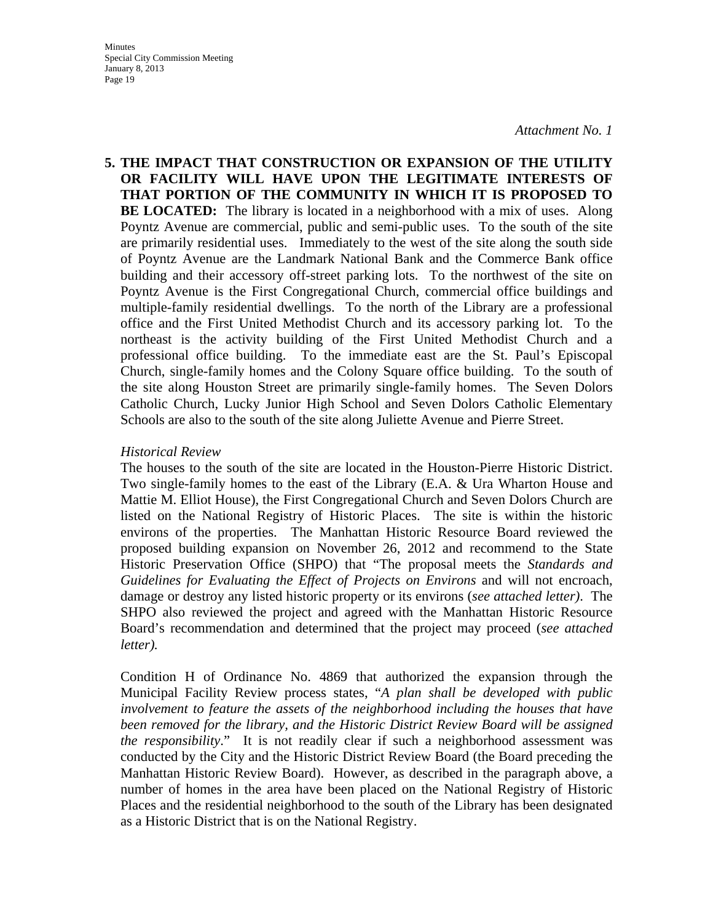**5. THE IMPACT THAT CONSTRUCTION OR EXPANSION OF THE UTILITY OR FACILITY WILL HAVE UPON THE LEGITIMATE INTERESTS OF THAT PORTION OF THE COMMUNITY IN WHICH IT IS PROPOSED TO BE LOCATED:** The library is located in a neighborhood with a mix of uses. Along Poyntz Avenue are commercial, public and semi-public uses. To the south of the site are primarily residential uses. Immediately to the west of the site along the south side of Poyntz Avenue are the Landmark National Bank and the Commerce Bank office building and their accessory off-street parking lots. To the northwest of the site on Poyntz Avenue is the First Congregational Church, commercial office buildings and multiple-family residential dwellings. To the north of the Library are a professional office and the First United Methodist Church and its accessory parking lot. To the northeast is the activity building of the First United Methodist Church and a professional office building. To the immediate east are the St. Paul's Episcopal Church, single-family homes and the Colony Square office building. To the south of the site along Houston Street are primarily single-family homes. The Seven Dolors Catholic Church, Lucky Junior High School and Seven Dolors Catholic Elementary Schools are also to the south of the site along Juliette Avenue and Pierre Street.

#### *Historical Review*

The houses to the south of the site are located in the Houston-Pierre Historic District. Two single-family homes to the east of the Library (E.A. & Ura Wharton House and Mattie M. Elliot House), the First Congregational Church and Seven Dolors Church are listed on the National Registry of Historic Places. The site is within the historic environs of the properties. The Manhattan Historic Resource Board reviewed the proposed building expansion on November 26, 2012 and recommend to the State Historic Preservation Office (SHPO) that "The proposal meets the *Standards and Guidelines for Evaluating the Effect of Projects on Environs* and will not encroach, damage or destroy any listed historic property or its environs (*see attached letter)*. The SHPO also reviewed the project and agreed with the Manhattan Historic Resource Board's recommendation and determined that the project may proceed (*see attached letter).* 

Condition H of Ordinance No. 4869 that authorized the expansion through the Municipal Facility Review process states, "*A plan shall be developed with public involvement to feature the assets of the neighborhood including the houses that have been removed for the library, and the Historic District Review Board will be assigned the responsibility*." It is not readily clear if such a neighborhood assessment was conducted by the City and the Historic District Review Board (the Board preceding the Manhattan Historic Review Board). However, as described in the paragraph above, a number of homes in the area have been placed on the National Registry of Historic Places and the residential neighborhood to the south of the Library has been designated as a Historic District that is on the National Registry.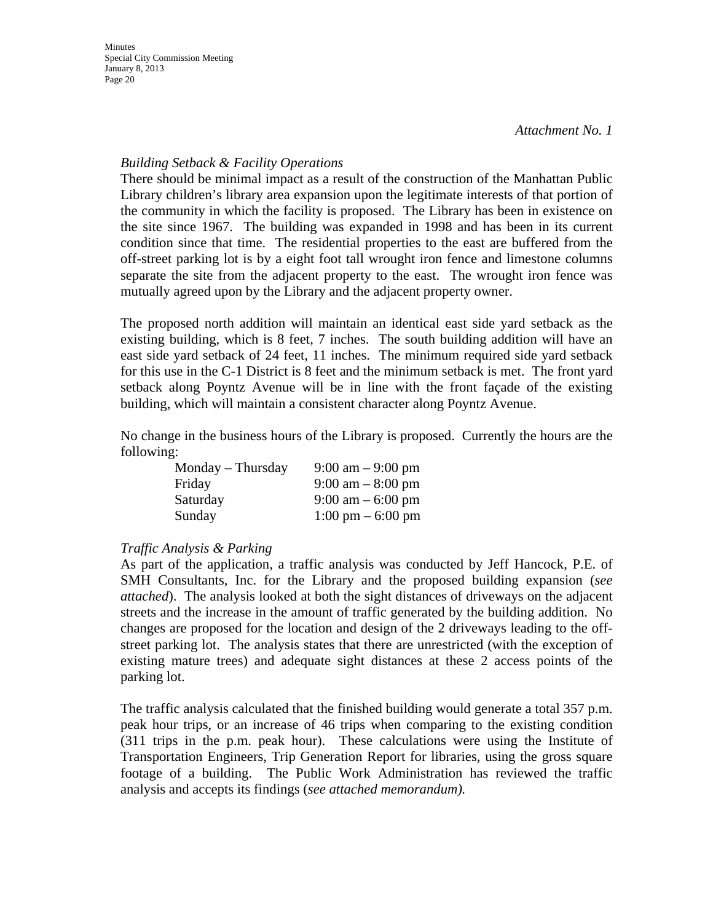### *Building Setback & Facility Operations*

There should be minimal impact as a result of the construction of the Manhattan Public Library children's library area expansion upon the legitimate interests of that portion of the community in which the facility is proposed. The Library has been in existence on the site since 1967. The building was expanded in 1998 and has been in its current condition since that time. The residential properties to the east are buffered from the off-street parking lot is by a eight foot tall wrought iron fence and limestone columns separate the site from the adjacent property to the east. The wrought iron fence was mutually agreed upon by the Library and the adjacent property owner.

The proposed north addition will maintain an identical east side yard setback as the existing building, which is 8 feet, 7 inches. The south building addition will have an east side yard setback of 24 feet, 11 inches. The minimum required side yard setback for this use in the C-1 District is 8 feet and the minimum setback is met. The front yard setback along Poyntz Avenue will be in line with the front façade of the existing building, which will maintain a consistent character along Poyntz Avenue.

No change in the business hours of the Library is proposed. Currently the hours are the following:

| $Monday$ – Thursday | $9:00 \text{ am} - 9:00 \text{ pm}$ |
|---------------------|-------------------------------------|
| Friday              | $9:00 \text{ am} - 8:00 \text{ pm}$ |
| Saturday            | $9:00 \text{ am} - 6:00 \text{ pm}$ |
| Sunday              | $1:00 \text{ pm} - 6:00 \text{ pm}$ |

### *Traffic Analysis & Parking*

As part of the application, a traffic analysis was conducted by Jeff Hancock, P.E. of SMH Consultants, Inc. for the Library and the proposed building expansion (*see attached*). The analysis looked at both the sight distances of driveways on the adjacent streets and the increase in the amount of traffic generated by the building addition. No changes are proposed for the location and design of the 2 driveways leading to the offstreet parking lot. The analysis states that there are unrestricted (with the exception of existing mature trees) and adequate sight distances at these 2 access points of the parking lot.

The traffic analysis calculated that the finished building would generate a total 357 p.m. peak hour trips, or an increase of 46 trips when comparing to the existing condition (311 trips in the p.m. peak hour). These calculations were using the Institute of Transportation Engineers, Trip Generation Report for libraries, using the gross square footage of a building. The Public Work Administration has reviewed the traffic analysis and accepts its findings (*see attached memorandum).*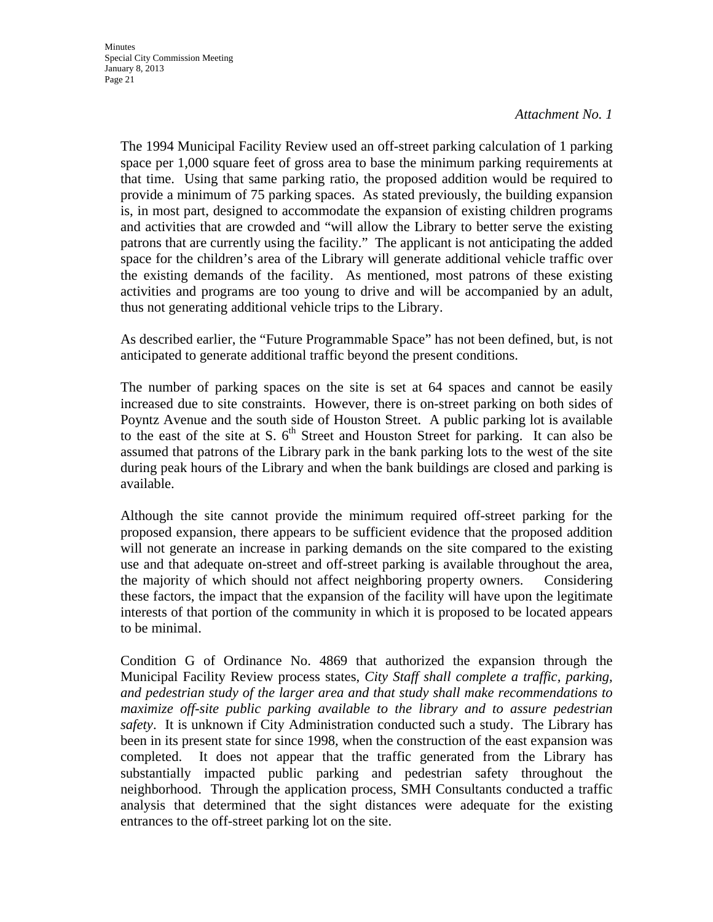The 1994 Municipal Facility Review used an off-street parking calculation of 1 parking space per 1,000 square feet of gross area to base the minimum parking requirements at that time. Using that same parking ratio, the proposed addition would be required to provide a minimum of 75 parking spaces. As stated previously, the building expansion is, in most part, designed to accommodate the expansion of existing children programs and activities that are crowded and "will allow the Library to better serve the existing patrons that are currently using the facility." The applicant is not anticipating the added space for the children's area of the Library will generate additional vehicle traffic over the existing demands of the facility. As mentioned, most patrons of these existing activities and programs are too young to drive and will be accompanied by an adult, thus not generating additional vehicle trips to the Library.

As described earlier, the "Future Programmable Space" has not been defined, but, is not anticipated to generate additional traffic beyond the present conditions.

The number of parking spaces on the site is set at 64 spaces and cannot be easily increased due to site constraints. However, there is on-street parking on both sides of Poyntz Avenue and the south side of Houston Street. A public parking lot is available to the east of the site at S.  $6<sup>th</sup>$  Street and Houston Street for parking. It can also be assumed that patrons of the Library park in the bank parking lots to the west of the site during peak hours of the Library and when the bank buildings are closed and parking is available.

Although the site cannot provide the minimum required off-street parking for the proposed expansion, there appears to be sufficient evidence that the proposed addition will not generate an increase in parking demands on the site compared to the existing use and that adequate on-street and off-street parking is available throughout the area, the majority of which should not affect neighboring property owners. Considering these factors, the impact that the expansion of the facility will have upon the legitimate interests of that portion of the community in which it is proposed to be located appears to be minimal.

Condition G of Ordinance No. 4869 that authorized the expansion through the Municipal Facility Review process states, *City Staff shall complete a traffic, parking, and pedestrian study of the larger area and that study shall make recommendations to maximize off-site public parking available to the library and to assure pedestrian safety*. It is unknown if City Administration conducted such a study. The Library has been in its present state for since 1998, when the construction of the east expansion was completed. It does not appear that the traffic generated from the Library has substantially impacted public parking and pedestrian safety throughout the neighborhood. Through the application process, SMH Consultants conducted a traffic analysis that determined that the sight distances were adequate for the existing entrances to the off-street parking lot on the site.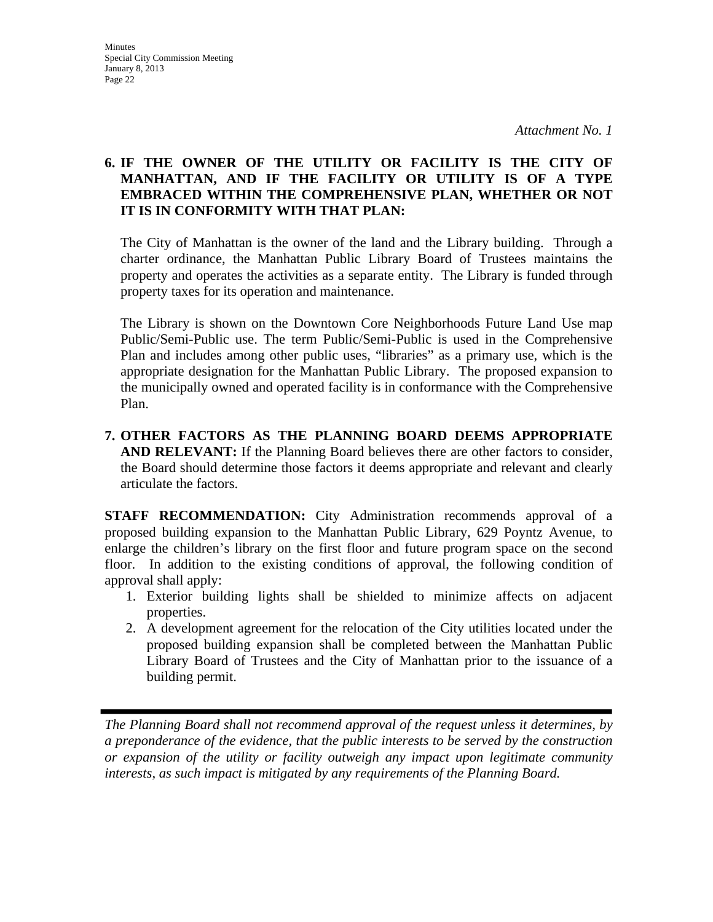### **6. IF THE OWNER OF THE UTILITY OR FACILITY IS THE CITY OF MANHATTAN, AND IF THE FACILITY OR UTILITY IS OF A TYPE EMBRACED WITHIN THE COMPREHENSIVE PLAN, WHETHER OR NOT IT IS IN CONFORMITY WITH THAT PLAN:**

The City of Manhattan is the owner of the land and the Library building. Through a charter ordinance, the Manhattan Public Library Board of Trustees maintains the property and operates the activities as a separate entity. The Library is funded through property taxes for its operation and maintenance.

 The Library is shown on the Downtown Core Neighborhoods Future Land Use map Public/Semi-Public use. The term Public/Semi-Public is used in the Comprehensive Plan and includes among other public uses, "libraries" as a primary use, which is the appropriate designation for the Manhattan Public Library. The proposed expansion to the municipally owned and operated facility is in conformance with the Comprehensive Plan.

**7. OTHER FACTORS AS THE PLANNING BOARD DEEMS APPROPRIATE AND RELEVANT:** If the Planning Board believes there are other factors to consider, the Board should determine those factors it deems appropriate and relevant and clearly articulate the factors.

**STAFF RECOMMENDATION:** City Administration recommends approval of a proposed building expansion to the Manhattan Public Library, 629 Poyntz Avenue, to enlarge the children's library on the first floor and future program space on the second floor. In addition to the existing conditions of approval, the following condition of approval shall apply:

- 1. Exterior building lights shall be shielded to minimize affects on adjacent properties.
- 2. A development agreement for the relocation of the City utilities located under the proposed building expansion shall be completed between the Manhattan Public Library Board of Trustees and the City of Manhattan prior to the issuance of a building permit.

*The Planning Board shall not recommend approval of the request unless it determines, by a preponderance of the evidence, that the public interests to be served by the construction or expansion of the utility or facility outweigh any impact upon legitimate community interests, as such impact is mitigated by any requirements of the Planning Board.*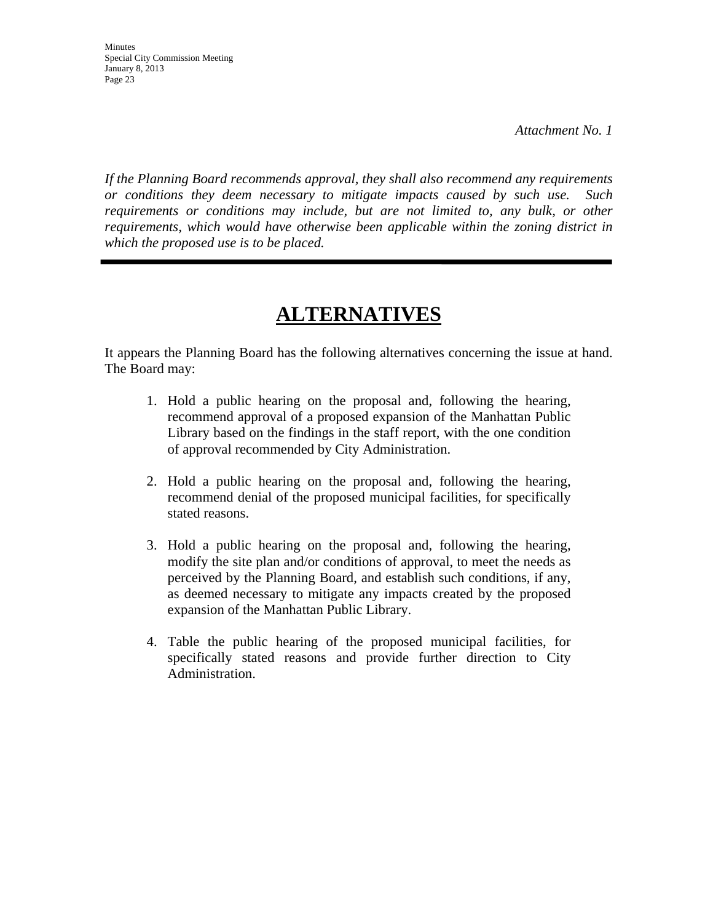*If the Planning Board recommends approval, they shall also recommend any requirements or conditions they deem necessary to mitigate impacts caused by such use. Such requirements or conditions may include, but are not limited to, any bulk, or other requirements, which would have otherwise been applicable within the zoning district in which the proposed use is to be placed.* 

# **ALTERNATIVES**

It appears the Planning Board has the following alternatives concerning the issue at hand. The Board may:

- 1. Hold a public hearing on the proposal and, following the hearing, recommend approval of a proposed expansion of the Manhattan Public Library based on the findings in the staff report, with the one condition of approval recommended by City Administration.
- 2. Hold a public hearing on the proposal and, following the hearing, recommend denial of the proposed municipal facilities, for specifically stated reasons.
- 3. Hold a public hearing on the proposal and, following the hearing, modify the site plan and/or conditions of approval, to meet the needs as perceived by the Planning Board, and establish such conditions, if any, as deemed necessary to mitigate any impacts created by the proposed expansion of the Manhattan Public Library.
- 4. Table the public hearing of the proposed municipal facilities, for specifically stated reasons and provide further direction to City Administration.